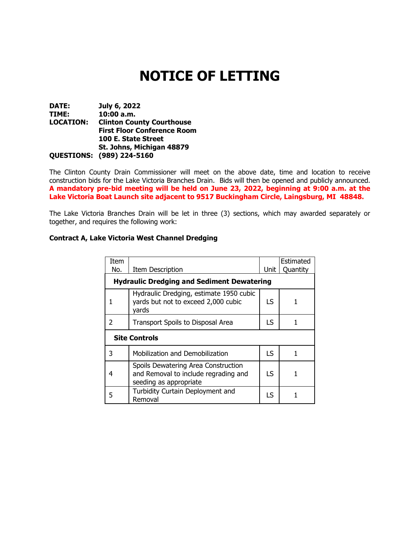# **NOTICE OF LETTING**

**DATE: July 6, 2022 TIME: 10:00 a.m. Clinton County Courthouse First Floor Conference Room 100 E. State Street St. Johns, Michigan 48879 QUESTIONS: (989) 224-5160**

The Clinton County Drain Commissioner will meet on the above date, time and location to receive construction bids for the Lake Victoria Branches Drain. Bids will then be opened and publicly announced. **A mandatory pre-bid meeting will be held on June 23, 2022, beginning at 9:00 a.m. at the Lake Victoria Boat Launch site adjacent to 9517 Buckingham Circle, Laingsburg, MI 48848.**

The Lake Victoria Branches Drain will be let in three (3) sections, which may awarded separately or together, and requires the following work:

#### **Contract A, Lake Victoria West Channel Dredging**

| Item<br>No.                                       | <b>Item Description</b>                                                                               | Unit      | Estimated<br>Quantity |  |  |
|---------------------------------------------------|-------------------------------------------------------------------------------------------------------|-----------|-----------------------|--|--|
| <b>Hydraulic Dredging and Sediment Dewatering</b> |                                                                                                       |           |                       |  |  |
|                                                   | Hydraulic Dredging, estimate 1950 cubic<br>yards but not to exceed 2,000 cubic<br>vards               | IS.       |                       |  |  |
| 2                                                 | Transport Spoils to Disposal Area                                                                     | LS        | 1                     |  |  |
| <b>Site Controls</b>                              |                                                                                                       |           |                       |  |  |
| 3                                                 | Mobilization and Demobilization                                                                       | <b>LS</b> | 1                     |  |  |
| 4                                                 | Spoils Dewatering Area Construction<br>and Removal to include regrading and<br>seeding as appropriate | LS        | 1                     |  |  |
| 5                                                 | Turbidity Curtain Deployment and<br>Removal                                                           | ΙS        |                       |  |  |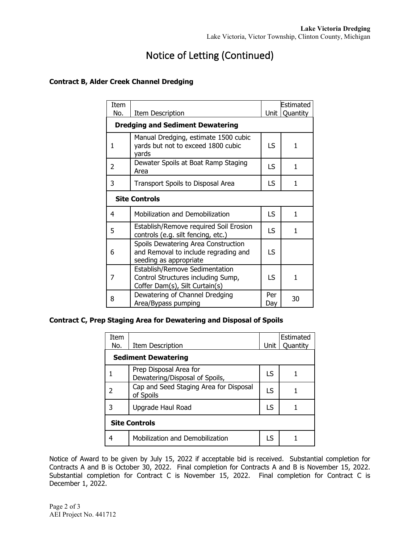# Notice of Letting (Continued)

## **Contract B, Alder Creek Channel Dredging**

| Item<br>No.                             | Item Description                                                                                       | Unit       | Estimated<br>Quantity |  |  |
|-----------------------------------------|--------------------------------------------------------------------------------------------------------|------------|-----------------------|--|--|
| <b>Dredging and Sediment Dewatering</b> |                                                                                                        |            |                       |  |  |
| 1                                       | Manual Dredging, estimate 1500 cubic<br>yards but not to exceed 1800 cubic<br>vards                    | LS.        | 1                     |  |  |
| 2                                       | Dewater Spoils at Boat Ramp Staging<br>Area                                                            | LS.        | 1                     |  |  |
| 3                                       | Transport Spoils to Disposal Area                                                                      | LS         | 1                     |  |  |
| <b>Site Controls</b>                    |                                                                                                        |            |                       |  |  |
| 4                                       | Mobilization and Demobilization                                                                        | <b>LS</b>  | 1                     |  |  |
| 5                                       | Establish/Remove required Soil Erosion<br>controls (e.g. silt fencing, etc.)                           | LS         | 1                     |  |  |
| 6                                       | Spoils Dewatering Area Construction<br>and Removal to include regrading and<br>seeding as appropriate  | LS.        |                       |  |  |
| 7                                       | Establish/Remove Sedimentation<br>Control Structures including Sump,<br>Coffer Dam(s), Silt Curtain(s) | LS.        | 1                     |  |  |
| 8                                       | Dewatering of Channel Dredging<br>Area/Bypass pumping                                                  | Per<br>Day | 30                    |  |  |

### **Contract C, Prep Staging Area for Dewatering and Disposal of Spoils**

| Item<br>No.                | Item Description                                         | Unit | Estimated<br>Quantity |  |  |  |
|----------------------------|----------------------------------------------------------|------|-----------------------|--|--|--|
| <b>Sediment Dewatering</b> |                                                          |      |                       |  |  |  |
|                            | Prep Disposal Area for<br>Dewatering/Disposal of Spoils, | I S  |                       |  |  |  |
| 2                          | Cap and Seed Staging Area for Disposal<br>of Spoils      | LS   |                       |  |  |  |
| 3                          | Upgrade Haul Road                                        | LS   |                       |  |  |  |
| <b>Site Controls</b>       |                                                          |      |                       |  |  |  |
| 4                          | Mobilization and Demobilization                          | ΙS   |                       |  |  |  |

Notice of Award to be given by July 15, 2022 if acceptable bid is received. Substantial completion for Contracts A and B is October 30, 2022. Final completion for Contracts A and B is November 15, 2022. Substantial completion for Contract C is November 15, 2022. Final completion for Contract C is December 1, 2022.